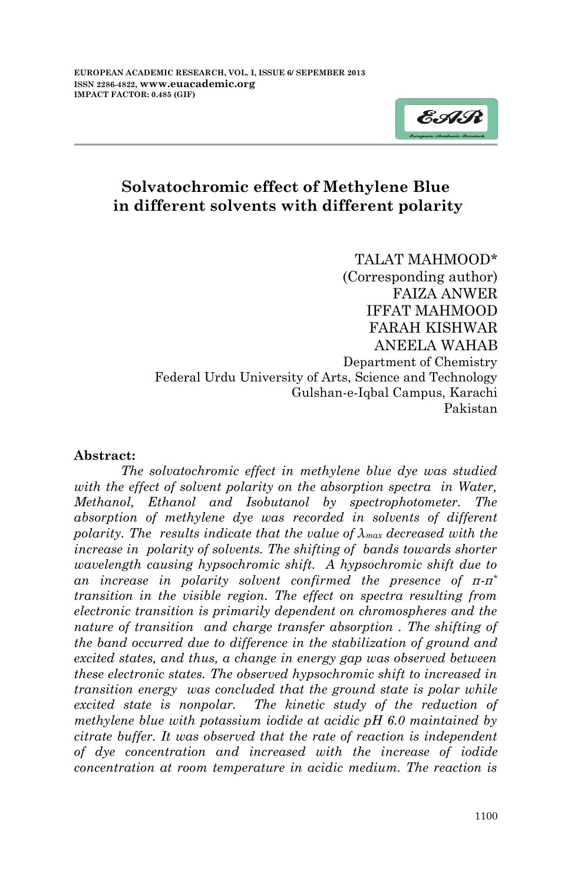

# **Solvatochromic effect of Methylene Blue in different solvents with different polarity**

TALAT MAHMOOD\* (Corresponding author) FAIZA ANWER IFFAT MAHMOOD FARAH KISHWAR ANEELA WAHAB Department of Chemistry Federal Urdu University of Arts, Science and Technology Gulshan-e-Iqbal Campus, Karachi Pakistan

#### **Abstract:**

*The solvatochromic effect in methylene blue dye was studied*  with the effect of solvent polarity on the absorption spectra in Water, *Methanol, Ethanol and Isobutanol by spectrophotometer. The absorption of methylene dye was recorded in solvents of different polarity. The results indicate that the value of λmax decreased with the increase in polarity of solvents. The shifting of bands towards shorter wavelength causing hypsochromic shift. A hypsochromic shift due to an increase in polarity solvent confirmed the presence of π-π\* transition in the visible region. The effect on spectra resulting from electronic transition is primarily dependent on chromospheres and the nature of transition and charge transfer absorption. The shifting of the band occurred due to difference in the stabilization of ground and excited states, and thus, a change in energy gap was observed between these electronic states. The observed hypsochromic shift to increased in transition energy was concluded that the ground state is polar while excited state is nonpolar. The kinetic study of the reduction of methylene blue with potassium iodide at acidic pH 6.0 maintained by citrate buffer. It was observed that the rate of reaction is independent of dye concentration and increased with the increase of iodide concentration at room temperature in acidic medium. The reaction is*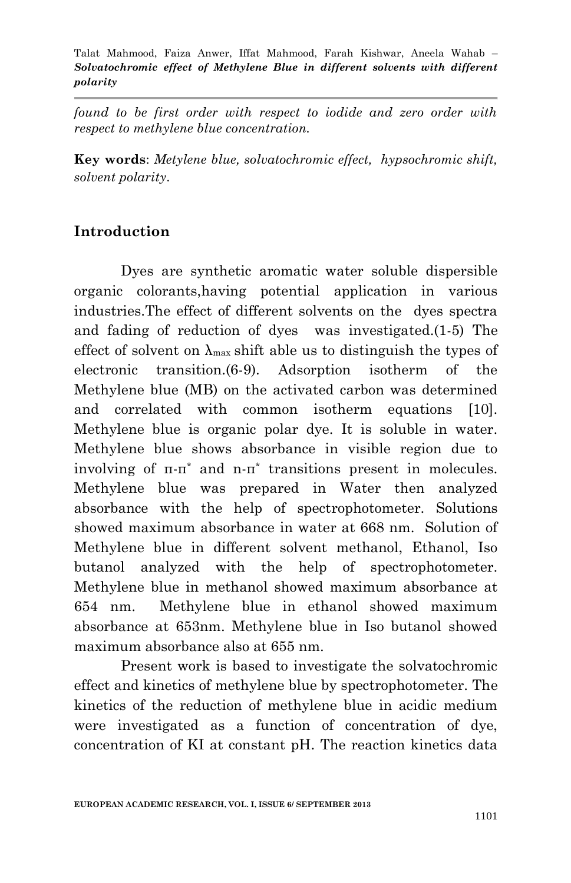*found to be first order with respect to iodide and zero order with respect to methylene blue concentration.*

**Key words**: *Metylene blue, solvatochromic effect, hypsochromic shift, solvent polarity*.

# **Introduction**

Dyes are synthetic aromatic water soluble dispersible organic colorants,having potential application in various industries.The effect of different solvents on the dyes spectra and fading of reduction of dyes was investigated.(1-5) The effect of solvent on  $\lambda_{\text{max}}$  shift able us to distinguish the types of electronic transition.(6-9). Adsorption isotherm of the Methylene blue (MB) on the activated carbon was determined and correlated with common isotherm equations [10]. Methylene blue is organic polar dye. It is soluble in water. Methylene blue shows absorbance in visible region due to involving of π-π\* and n-π\* transitions present in molecules. Methylene blue was prepared in Water then analyzed absorbance with the help of spectrophotometer. Solutions showed maximum absorbance in water at 668 nm. Solution of Methylene blue in different solvent methanol, Ethanol, Iso butanol analyzed with the help of spectrophotometer. Methylene blue in methanol showed maximum absorbance at 654 nm. Methylene blue in ethanol showed maximum absorbance at 653nm. Methylene blue in Iso butanol showed maximum absorbance also at 655 nm.

Present work is based to investigate the solvatochromic effect and kinetics of methylene blue by spectrophotometer. The kinetics of the reduction of methylene blue in acidic medium were investigated as a function of concentration of dye, concentration of KI at constant pH. The reaction kinetics data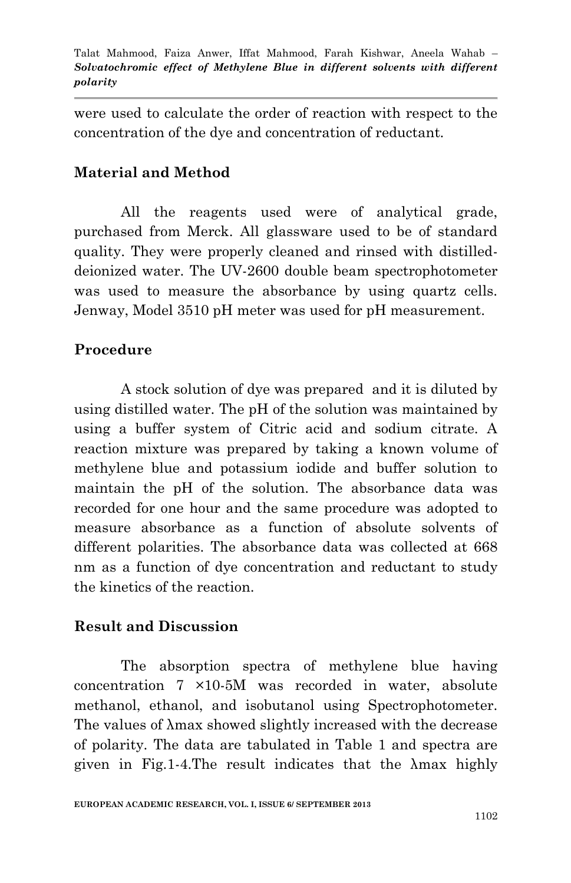were used to calculate the order of reaction with respect to the concentration of the dye and concentration of reductant.

### **Material and Method**

All the reagents used were of analytical grade, purchased from Merck. All glassware used to be of standard quality. They were properly cleaned and rinsed with distilleddeionized water. The UV-2600 double beam spectrophotometer was used to measure the absorbance by using quartz cells. Jenway, Model 3510 pH meter was used for pH measurement.

## **Procedure**

A stock solution of dye was prepared and it is diluted by using distilled water. The pH of the solution was maintained by using a buffer system of Citric acid and sodium citrate. A reaction mixture was prepared by taking a known volume of methylene blue and potassium iodide and buffer solution to maintain the pH of the solution. The absorbance data was recorded for one hour and the same procedure was adopted to measure absorbance as a function of absolute solvents of different polarities. The absorbance data was collected at 668 nm as a function of dye concentration and reductant to study the kinetics of the reaction.

### **Result and Discussion**

The absorption spectra of methylene blue having concentration 7 ×10-5M was recorded in water, absolute methanol, ethanol, and isobutanol using Spectrophotometer. The values of λmax showed slightly increased with the decrease of polarity. The data are tabulated in Table 1 and spectra are given in Fig.1-4.The result indicates that the λmax highly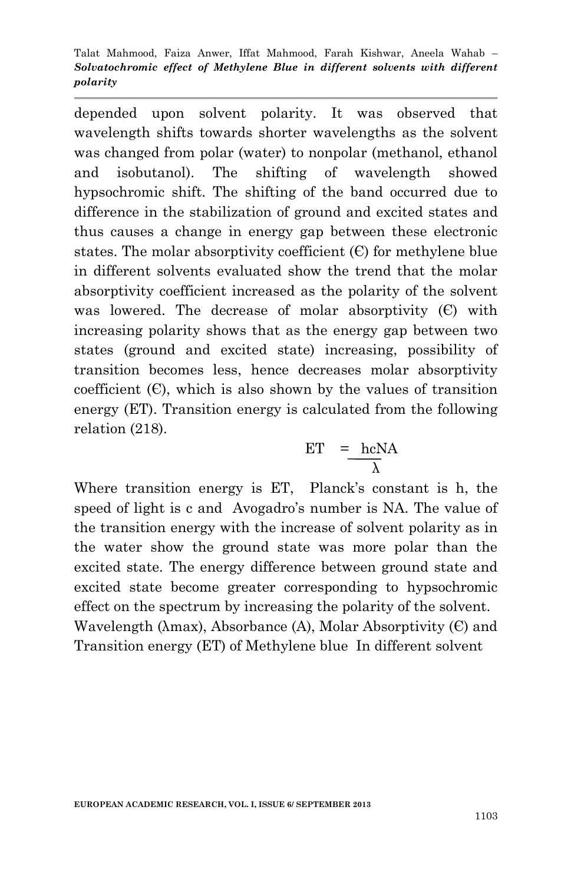depended upon solvent polarity. It was observed that wavelength shifts towards shorter wavelengths as the solvent was changed from polar (water) to nonpolar (methanol, ethanol and isobutanol). The shifting of wavelength showed hypsochromic shift. The shifting of the band occurred due to difference in the stabilization of ground and excited states and thus causes a change in energy gap between these electronic states. The molar absorptivity coefficient  $(E)$  for methylene blue in different solvents evaluated show the trend that the molar absorptivity coefficient increased as the polarity of the solvent was lowered. The decrease of molar absorptivity  $(C)$  with increasing polarity shows that as the energy gap between two states (ground and excited state) increasing, possibility of transition becomes less, hence decreases molar absorptivity coefficient  $(C)$ , which is also shown by the values of transition energy (ET). Transition energy is calculated from the following relation (218).

$$
ET = \frac{hcNA}{\lambda}
$$

Where transition energy is ET, Planck's constant is h, the speed of light is c and Avogadro's number is NA. The value of the transition energy with the increase of solvent polarity as in the water show the ground state was more polar than the excited state. The energy difference between ground state and excited state become greater corresponding to hypsochromic effect on the spectrum by increasing the polarity of the solvent. Wavelength ( $\lambda$ max), Absorbance (A), Molar Absorptivity (C) and Transition energy (ET) of Methylene blue In different solvent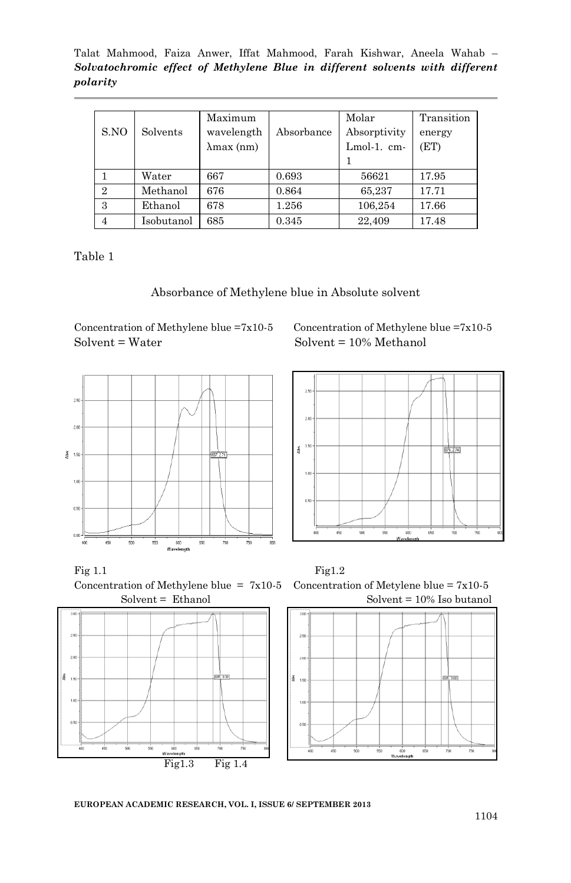Talat Mahmood, Faiza Anwer, Iffat Mahmood, Farah Kishwar, Aneela Wahab – *Solvatochromic effect of Methylene Blue in different solvents with different polarity*

| S.NO           | Solvents   | Maximum<br>wavelength<br>$\lambda$ max $(nm)$ | Absorbance | Molar<br>Absorptivity<br>Lmol-1. cm- | Transition<br>energy<br>(ET) |
|----------------|------------|-----------------------------------------------|------------|--------------------------------------|------------------------------|
|                | Water      | 667                                           | 0.693      | 56621                                | 17.95                        |
| $\overline{2}$ | Methanol   | 676                                           | 0.864      | 65,237                               | 17.71                        |
| 3              | Ethanol    | 678                                           | 1.256      | 106,254                              | 17.66                        |
| $\overline{4}$ | Isobutanol | 685                                           | 0.345      | 22,409                               | 17.48                        |

Table 1

Absorbance of Methylene blue in Absolute solvent

 $Solvent = Water$  Solvent = 10% Methanol



Concentration of Methylene blue  $=7x10-5$  Concentration of Methylene blue  $=7x10-5$ 













**EUROPEAN ACADEMIC RESEARCH, VOL. I, ISSUE 6/ SEPTEMBER 2013**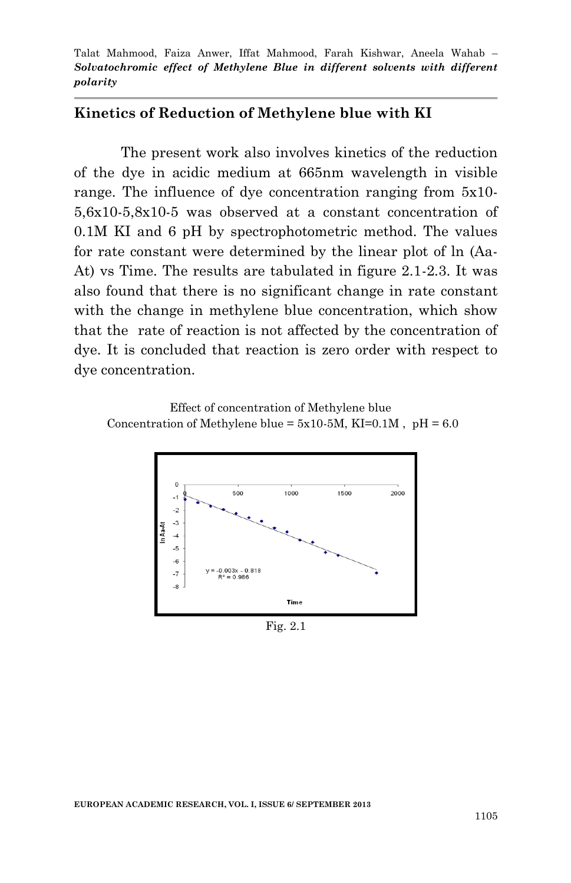#### **Kinetics of Reduction of Methylene blue with KI**

The present work also involves kinetics of the reduction of the dye in acidic medium at 665nm wavelength in visible range. The influence of dye concentration ranging from 5x10- 5,6x10-5,8x10-5 was observed at a constant concentration of 0.1M KI and 6 pH by spectrophotometric method. The values for rate constant were determined by the linear plot of ln (Aa-At) vs Time. The results are tabulated in figure 2.1-2.3. It was also found that there is no significant change in rate constant with the change in methylene blue concentration, which show that the rate of reaction is not affected by the concentration of dye. It is concluded that reaction is zero order with respect to dye concentration.

 Effect of concentration of Methylene blue Concentration of Methylene blue =  $5x10-5M$ , KI=0.1M, pH = 6.0



Fig. 2.1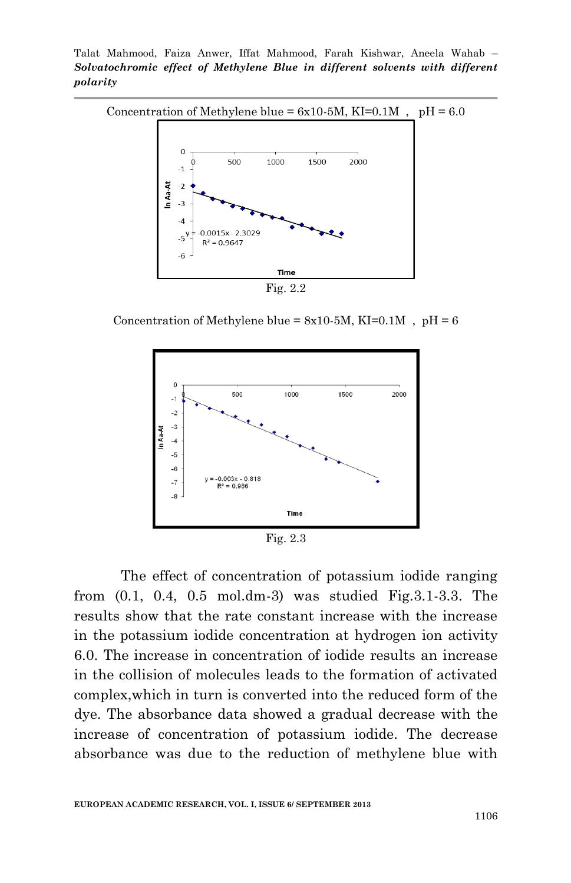Talat Mahmood, Faiza Anwer, Iffat Mahmood, Farah Kishwar, Aneela Wahab – *Solvatochromic effect of Methylene Blue in different solvents with different polarity*



Concentration of Methylene blue =  $8x10-5M$ , KI=0.1M, pH = 6



Fig. 2.3

The effect of concentration of potassium iodide ranging from (0.1, 0.4, 0.5 mol.dm-3) was studied Fig.3.1-3.3. The results show that the rate constant increase with the increase in the potassium iodide concentration at hydrogen ion activity 6.0. The increase in concentration of iodide results an increase in the collision of molecules leads to the formation of activated complex,which in turn is converted into the reduced form of the dye. The absorbance data showed a gradual decrease with the increase of concentration of potassium iodide. The decrease absorbance was due to the reduction of methylene blue with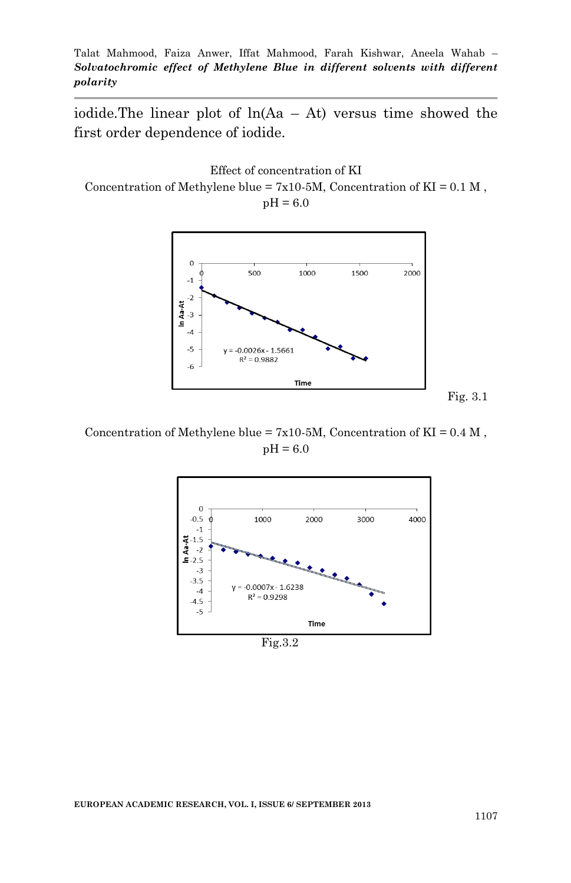iodide. The linear plot of  $ln(Aa - At)$  versus time showed the first order dependence of iodide.

Effect of concentration of KI Concentration of Methylene blue =  $7x10-5M$ , Concentration of KI = 0.1 M,  $pH = 6.0$ 



Concentration of Methylene blue =  $7x10-5M$ , Concentration of KI =  $0.4 M$ ,  $pH = 6.0$ 

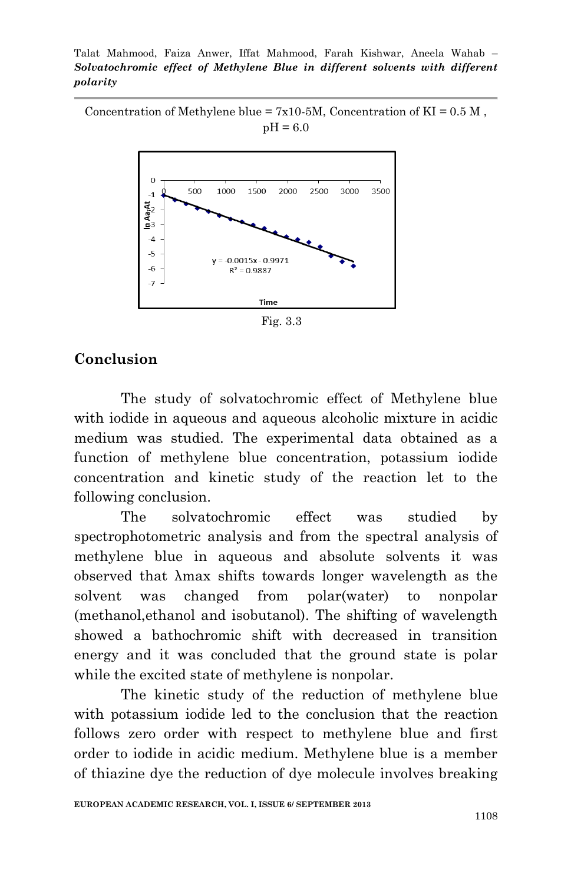Concentration of Methylene blue =  $7x10-5M$ , Concentration of KI =  $0.5 M$ ,  $pH = 6.0$ 



Fig. 3.3

### **Conclusion**

The study of solvatochromic effect of Methylene blue with iodide in aqueous and aqueous alcoholic mixture in acidic medium was studied. The experimental data obtained as a function of methylene blue concentration, potassium iodide concentration and kinetic study of the reaction let to the following conclusion.

The solvatochromic effect was studied by spectrophotometric analysis and from the spectral analysis of methylene blue in aqueous and absolute solvents it was observed that λmax shifts towards longer wavelength as the solvent was changed from polar(water) to nonpolar (methanol,ethanol and isobutanol). The shifting of wavelength showed a bathochromic shift with decreased in transition energy and it was concluded that the ground state is polar while the excited state of methylene is nonpolar.

The kinetic study of the reduction of methylene blue with potassium iodide led to the conclusion that the reaction follows zero order with respect to methylene blue and first order to iodide in acidic medium. Methylene blue is a member of thiazine dye the reduction of dye molecule involves breaking